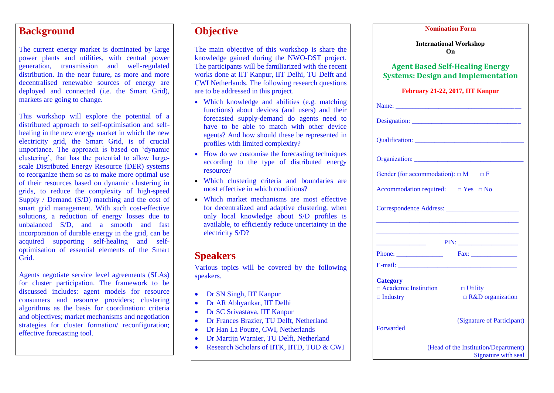### **Background**

The current energy market is dominated by large power plants and utilities, with central power generation, transmission and well-regulated distribution. In the near future, as more and more decentralised renewable sources of energy are deployed and connected (i.e. the Smart Grid), markets are going to change.

This workshop will explore the potential of a distributed approach to self-optimisation and selfhealing in the new energy market in which the new electricity grid, the Smart Grid, is of crucial importance. The approach is based on 'dynamic clustering', that has the potential to allow largescale Distributed Energy Resource (DER) systems to reorganize them so as to make more optimal use of their resources based on dynamic clustering in grids, to reduce the complexity of high-speed Supply / Demand (S/D) matching and the cost of smart grid management. With such cost-effective solutions, a reduction of energy losses due to unbalanced S/D, and a smooth and fast incorporation of durable energy in the grid, can be acquired supporting self-healing and selfoptimisation of essential elements of the Smart Grid.

Agents negotiate service level agreements (SLAs) for cluster participation. The framework to be discussed includes: agent models for resource consumers and resource providers; clustering algorithms as the basis for coordination: criteria and objectives; market mechanisms and negotiation strategies for cluster formation/ reconfiguration; effective forecasting tool.

## **Objective**

The main objective of this workshop is share the knowledge gained during the NWO-DST project. The participants will be familiarized with the recent works done at IIT Kanpur, IIT Delhi, TU Delft and CWI Netherlands. The following research questions are to be addressed in this project.

- Which knowledge and abilities (e.g. matching functions) about devices (and users) and their forecasted supply-demand do agents need to have to be able to match with other device agents? And how should these be represented in profiles with limited complexity?
- How do we customise the forecasting techniques according to the type of distributed energy resource?
- Which clustering criteria and boundaries are most effective in which conditions?
- Which market mechanisms are most effective for decentralized and adaptive clustering, when only local knowledge about S/D profiles is available, to efficiently reduce uncertainty in the electricity S/D?

# **Speakers**

Various topics will be covered by the following speakers.

- Dr SN Singh, IIT Kanpur
- Dr AR Abhyankar, IIT Delhi
- Dr SC Srivastava, IIT Kanpur
- Dr Frances Brazier, TU Delft, Netherland
- Dr Han La Poutre, CWI, Netherlands
- Dr Martijn Warnier, TU Delft, Netherland
- Research Scholars of IITK, IITD, TUD & CWI

| <b>Nomination Form</b> |  |
|------------------------|--|
|                        |  |

**International Workshop On**

#### **Agent Based Self-Healing Energy Systems: Design and Implementation**

#### **February 21-22, 2017, IIT Kanpur**

| Gender (for accommodation): $\Box$ M $\Box$ F             |                                                             |
|-----------------------------------------------------------|-------------------------------------------------------------|
| Accommodation required: $\Box$ Yes $\Box$ No              |                                                             |
|                                                           |                                                             |
|                                                           |                                                             |
| the control of the control of the control of              |                                                             |
| Phone: $\frac{1}{\sqrt{1-\frac{1}{2}} \cdot \frac{1}{2}}$ | Fax:                                                        |
|                                                           |                                                             |
| <b>Category</b><br>$\Box$ Academic Institution            | $\Box$ Utility                                              |
| $\Box$ Industry                                           | $\Box$ R&D organization                                     |
| <b>Forwarded</b>                                          | (Signature of Participant)                                  |
|                                                           | (Head of the Institution/Department)<br>Signature with seal |